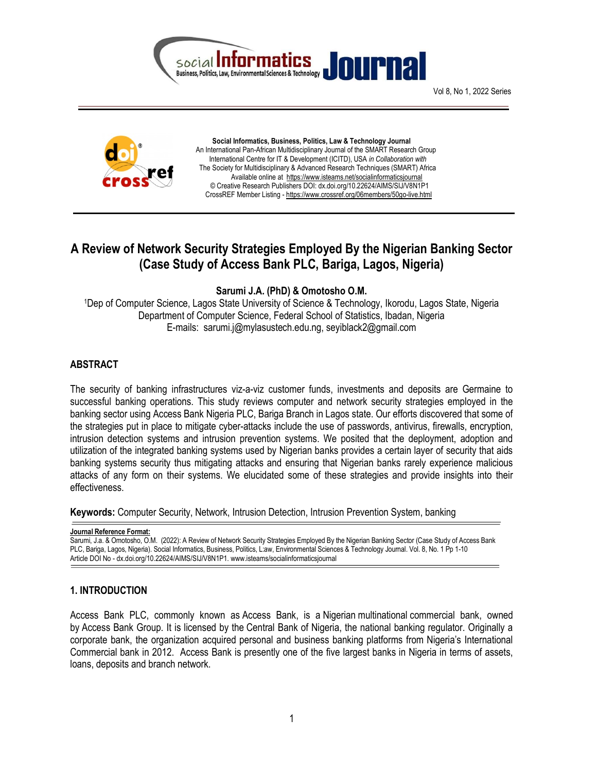



 Social Informatics, Business, Politics, Law & Technology Journal An International Pan-African Multidisciplinary Journal of the SMART Research Group International Centre for IT & Development (ICITD), USA in Collaboration with The Society for Multidisciplinary & Advanced Research Techniques (SMART) Africa Available online at https://www.isteams.net/socialinformaticsjournal © Creative Research Publishers DOI: dx.doi.org/10.22624/AIMS/SIJ/V8N1P1 CrossREF Member Listing - https://www.crossref.org/06members/50go-live.html

# A Review of Network Security Strategies Employed By the Nigerian Banking Sector (Case Study of Access Bank PLC, Bariga, Lagos, Nigeria)

## Sarumi J.A. (PhD) & Omotosho O.M.

<sup>1</sup>Dep of Computer Science, Lagos State University of Science & Technology, Ikorodu, Lagos State, Nigeria Department of Computer Science, Federal School of Statistics, Ibadan, Nigeria E-mails: sarumi.j@mylasustech.edu.ng, seyiblack2@gmail.com

## ABSTRACT

The security of banking infrastructures viz-a-viz customer funds, investments and deposits are Germaine to successful banking operations. This study reviews computer and network security strategies employed in the banking sector using Access Bank Nigeria PLC, Bariga Branch in Lagos state. Our efforts discovered that some of the strategies put in place to mitigate cyber-attacks include the use of passwords, antivirus, firewalls, encryption, intrusion detection systems and intrusion prevention systems. We posited that the deployment, adoption and utilization of the integrated banking systems used by Nigerian banks provides a certain layer of security that aids banking systems security thus mitigating attacks and ensuring that Nigerian banks rarely experience malicious attacks of any form on their systems. We elucidated some of these strategies and provide insights into their effectiveness.

Keywords: Computer Security, Network, Intrusion Detection, Intrusion Prevention System, banking

Journal Reference Format:

Sarumi, J.a. & Omotosho, O.M. (2022): A Review of Network Security Strategies Employed By the Nigerian Banking Sector (Case Study of Access Bank PLC, Bariga, Lagos, Nigeria). Social Informatics, Business, Politics, L:aw, Environmental Sciences & Technology Journal. Vol. 8, No. 1 Pp 1-10 Article DOI No - dx.doi.org/10.22624/AIMS/SIJ/V8N1P1. www.isteams/socialinformaticsjournal

# 1. INTRODUCTION

Access Bank PLC, commonly known as Access Bank, is a Nigerian multinational commercial bank, owned by Access Bank Group. It is licensed by the Central Bank of Nigeria, the national banking regulator. Originally a corporate bank, the organization acquired personal and business banking platforms from Nigeria's International Commercial bank in 2012. Access Bank is presently one of the five largest banks in Nigeria in terms of assets, loans, deposits and branch network.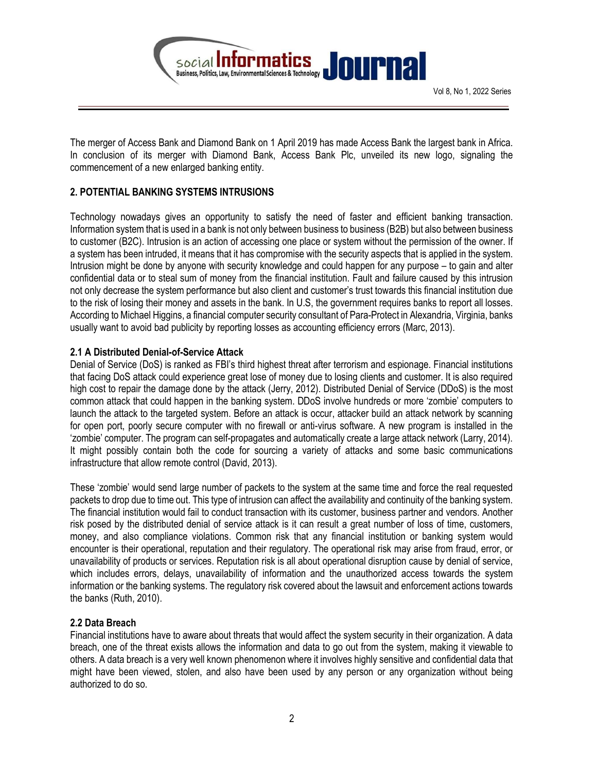

The merger of Access Bank and Diamond Bank on 1 April 2019 has made Access Bank the largest bank in Africa. In conclusion of its merger with Diamond Bank, Access Bank Plc, unveiled its new logo, signaling the commencement of a new enlarged banking entity.

# 2. POTENTIAL BANKING SYSTEMS INTRUSIONS

Technology nowadays gives an opportunity to satisfy the need of faster and efficient banking transaction. Information system that is used in a bank is not only between business to business (B2B) but also between business to customer (B2C). Intrusion is an action of accessing one place or system without the permission of the owner. If a system has been intruded, it means that it has compromise with the security aspects that is applied in the system. Intrusion might be done by anyone with security knowledge and could happen for any purpose – to gain and alter confidential data or to steal sum of money from the financial institution. Fault and failure caused by this intrusion not only decrease the system performance but also client and customer's trust towards this financial institution due to the risk of losing their money and assets in the bank. In U.S, the government requires banks to report all losses. According to Michael Higgins, a financial computer security consultant of Para-Protect in Alexandria, Virginia, banks usually want to avoid bad publicity by reporting losses as accounting efficiency errors (Marc, 2013).

## 2.1 A Distributed Denial-of-Service Attack

Denial of Service (DoS) is ranked as FBI's third highest threat after terrorism and espionage. Financial institutions that facing DoS attack could experience great lose of money due to losing clients and customer. It is also required high cost to repair the damage done by the attack (Jerry, 2012). Distributed Denial of Service (DDoS) is the most common attack that could happen in the banking system. DDoS involve hundreds or more 'zombie' computers to launch the attack to the targeted system. Before an attack is occur, attacker build an attack network by scanning for open port, poorly secure computer with no firewall or anti-virus software. A new program is installed in the 'zombie' computer. The program can self-propagates and automatically create a large attack network (Larry, 2014). It might possibly contain both the code for sourcing a variety of attacks and some basic communications infrastructure that allow remote control (David, 2013).

These 'zombie' would send large number of packets to the system at the same time and force the real requested packets to drop due to time out. This type of intrusion can affect the availability and continuity of the banking system. The financial institution would fail to conduct transaction with its customer, business partner and vendors. Another risk posed by the distributed denial of service attack is it can result a great number of loss of time, customers, money, and also compliance violations. Common risk that any financial institution or banking system would encounter is their operational, reputation and their regulatory. The operational risk may arise from fraud, error, or unavailability of products or services. Reputation risk is all about operational disruption cause by denial of service, which includes errors, delays, unavailability of information and the unauthorized access towards the system information or the banking systems. The regulatory risk covered about the lawsuit and enforcement actions towards the banks (Ruth, 2010).

#### 2.2 Data Breach

Financial institutions have to aware about threats that would affect the system security in their organization. A data breach, one of the threat exists allows the information and data to go out from the system, making it viewable to others. A data breach is a very well known phenomenon where it involves highly sensitive and confidential data that might have been viewed, stolen, and also have been used by any person or any organization without being authorized to do so.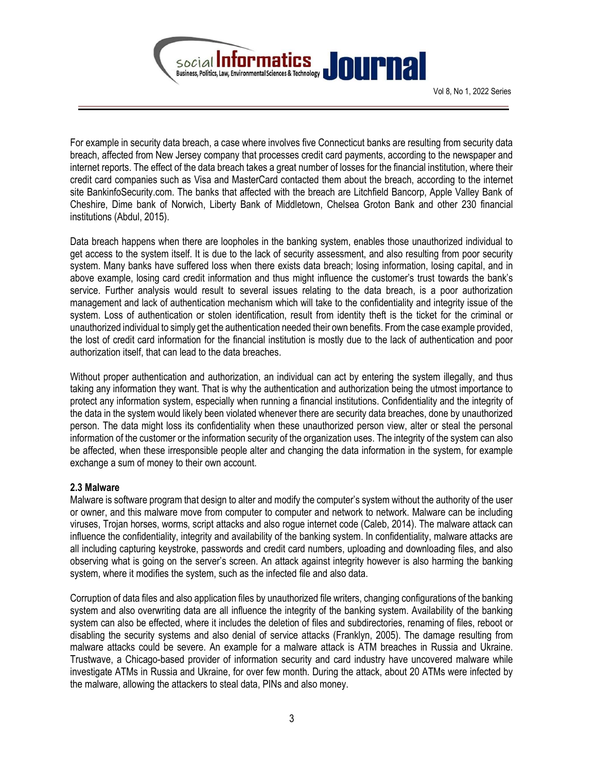

For example in security data breach, a case where involves five Connecticut banks are resulting from security data breach, affected from New Jersey company that processes credit card payments, according to the newspaper and internet reports. The effect of the data breach takes a great number of losses for the financial institution, where their credit card companies such as Visa and MasterCard contacted them about the breach, according to the internet site BankinfoSecurity.com. The banks that affected with the breach are Litchfield Bancorp, Apple Valley Bank of Cheshire, Dime bank of Norwich, Liberty Bank of Middletown, Chelsea Groton Bank and other 230 financial institutions (Abdul, 2015).

Data breach happens when there are loopholes in the banking system, enables those unauthorized individual to get access to the system itself. It is due to the lack of security assessment, and also resulting from poor security system. Many banks have suffered loss when there exists data breach; losing information, losing capital, and in above example, losing card credit information and thus might influence the customer's trust towards the bank's service. Further analysis would result to several issues relating to the data breach, is a poor authorization management and lack of authentication mechanism which will take to the confidentiality and integrity issue of the system. Loss of authentication or stolen identification, result from identity theft is the ticket for the criminal or unauthorized individual to simply get the authentication needed their own benefits. From the case example provided, the lost of credit card information for the financial institution is mostly due to the lack of authentication and poor authorization itself, that can lead to the data breaches.

Without proper authentication and authorization, an individual can act by entering the system illegally, and thus taking any information they want. That is why the authentication and authorization being the utmost importance to protect any information system, especially when running a financial institutions. Confidentiality and the integrity of the data in the system would likely been violated whenever there are security data breaches, done by unauthorized person. The data might loss its confidentiality when these unauthorized person view, alter or steal the personal information of the customer or the information security of the organization uses. The integrity of the system can also be affected, when these irresponsible people alter and changing the data information in the system, for example exchange a sum of money to their own account.

#### 2.3 Malware

Malware is software program that design to alter and modify the computer's system without the authority of the user or owner, and this malware move from computer to computer and network to network. Malware can be including viruses, Trojan horses, worms, script attacks and also rogue internet code (Caleb, 2014). The malware attack can influence the confidentiality, integrity and availability of the banking system. In confidentiality, malware attacks are all including capturing keystroke, passwords and credit card numbers, uploading and downloading files, and also observing what is going on the server's screen. An attack against integrity however is also harming the banking system, where it modifies the system, such as the infected file and also data.

Corruption of data files and also application files by unauthorized file writers, changing configurations of the banking system and also overwriting data are all influence the integrity of the banking system. Availability of the banking system can also be effected, where it includes the deletion of files and subdirectories, renaming of files, reboot or disabling the security systems and also denial of service attacks (Franklyn, 2005). The damage resulting from malware attacks could be severe. An example for a malware attack is ATM breaches in Russia and Ukraine. Trustwave, a Chicago-based provider of information security and card industry have uncovered malware while investigate ATMs in Russia and Ukraine, for over few month. During the attack, about 20 ATMs were infected by the malware, allowing the attackers to steal data, PINs and also money.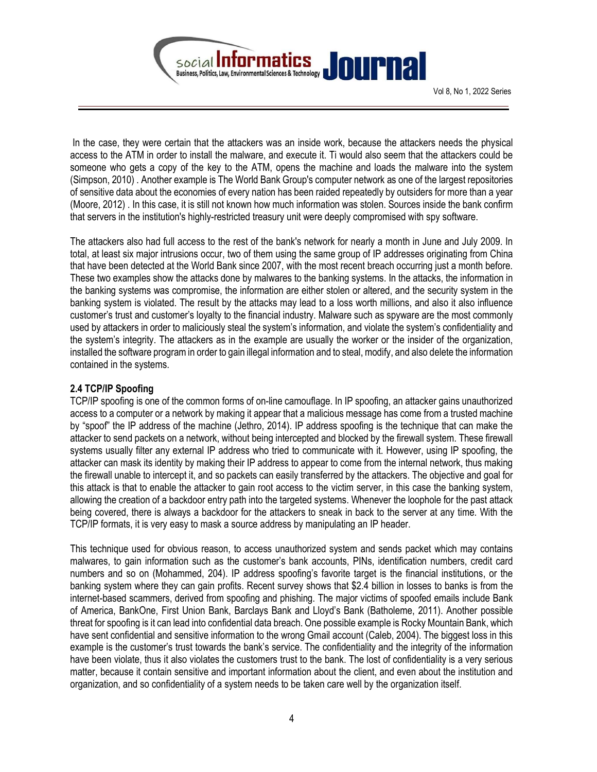

 In the case, they were certain that the attackers was an inside work, because the attackers needs the physical access to the ATM in order to install the malware, and execute it. Ti would also seem that the attackers could be someone who gets a copy of the key to the ATM, opens the machine and loads the malware into the system (Simpson, 2010) . Another example is The World Bank Group's computer network as one of the largest repositories of sensitive data about the economies of every nation has been raided repeatedly by outsiders for more than a year (Moore, 2012) . In this case, it is still not known how much information was stolen. Sources inside the bank confirm that servers in the institution's highly-restricted treasury unit were deeply compromised with spy software.

The attackers also had full access to the rest of the bank's network for nearly a month in June and July 2009. In total, at least six major intrusions occur, two of them using the same group of IP addresses originating from China that have been detected at the World Bank since 2007, with the most recent breach occurring just a month before. These two examples show the attacks done by malwares to the banking systems. In the attacks, the information in the banking systems was compromise, the information are either stolen or altered, and the security system in the banking system is violated. The result by the attacks may lead to a loss worth millions, and also it also influence customer's trust and customer's loyalty to the financial industry. Malware such as spyware are the most commonly used by attackers in order to maliciously steal the system's information, and violate the system's confidentiality and the system's integrity. The attackers as in the example are usually the worker or the insider of the organization, installed the software program in order to gain illegal information and to steal, modify, and also delete the information contained in the systems.

## 2.4 TCP/IP Spoofing

TCP/IP spoofing is one of the common forms of on-line camouflage. In IP spoofing, an attacker gains unauthorized access to a computer or a network by making it appear that a malicious message has come from a trusted machine by "spoof" the IP address of the machine (Jethro, 2014). IP address spoofing is the technique that can make the attacker to send packets on a network, without being intercepted and blocked by the firewall system. These firewall systems usually filter any external IP address who tried to communicate with it. However, using IP spoofing, the attacker can mask its identity by making their IP address to appear to come from the internal network, thus making the firewall unable to intercept it, and so packets can easily transferred by the attackers. The objective and goal for this attack is that to enable the attacker to gain root access to the victim server, in this case the banking system, allowing the creation of a backdoor entry path into the targeted systems. Whenever the loophole for the past attack being covered, there is always a backdoor for the attackers to sneak in back to the server at any time. With the TCP/IP formats, it is very easy to mask a source address by manipulating an IP header.

This technique used for obvious reason, to access unauthorized system and sends packet which may contains malwares, to gain information such as the customer's bank accounts, PINs, identification numbers, credit card numbers and so on (Mohammed, 204). IP address spoofing's favorite target is the financial institutions, or the banking system where they can gain profits. Recent survey shows that \$2.4 billion in losses to banks is from the internet-based scammers, derived from spoofing and phishing. The major victims of spoofed emails include Bank of America, BankOne, First Union Bank, Barclays Bank and Lloyd's Bank (Batholeme, 2011). Another possible threat for spoofing is it can lead into confidential data breach. One possible example is Rocky Mountain Bank, which have sent confidential and sensitive information to the wrong Gmail account (Caleb, 2004). The biggest loss in this example is the customer's trust towards the bank's service. The confidentiality and the integrity of the information have been violate, thus it also violates the customers trust to the bank. The lost of confidentiality is a very serious matter, because it contain sensitive and important information about the client, and even about the institution and organization, and so confidentiality of a system needs to be taken care well by the organization itself.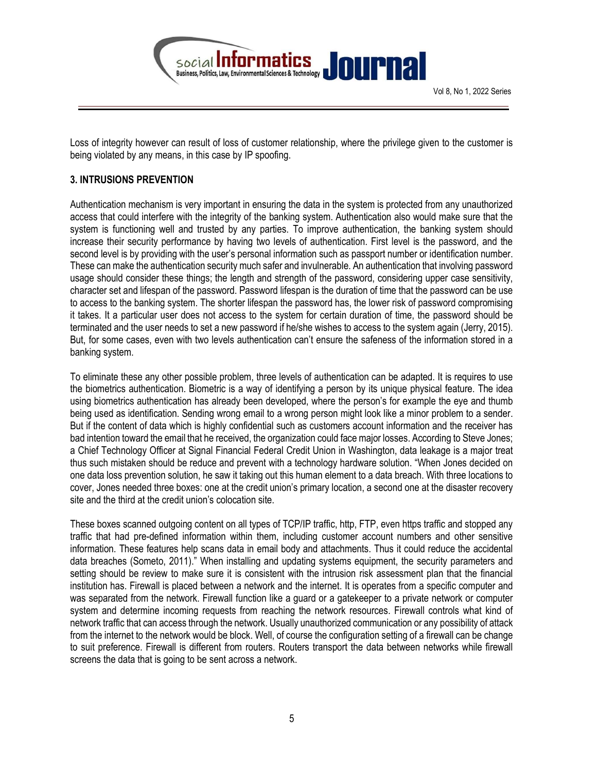

Loss of integrity however can result of loss of customer relationship, where the privilege given to the customer is being violated by any means, in this case by IP spoofing.

# 3. INTRUSIONS PREVENTION

Authentication mechanism is very important in ensuring the data in the system is protected from any unauthorized access that could interfere with the integrity of the banking system. Authentication also would make sure that the system is functioning well and trusted by any parties. To improve authentication, the banking system should increase their security performance by having two levels of authentication. First level is the password, and the second level is by providing with the user's personal information such as passport number or identification number. These can make the authentication security much safer and invulnerable. An authentication that involving password usage should consider these things; the length and strength of the password, considering upper case sensitivity, character set and lifespan of the password. Password lifespan is the duration of time that the password can be use to access to the banking system. The shorter lifespan the password has, the lower risk of password compromising it takes. It a particular user does not access to the system for certain duration of time, the password should be terminated and the user needs to set a new password if he/she wishes to access to the system again (Jerry, 2015). But, for some cases, even with two levels authentication can't ensure the safeness of the information stored in a banking system.

To eliminate these any other possible problem, three levels of authentication can be adapted. It is requires to use the biometrics authentication. Biometric is a way of identifying a person by its unique physical feature. The idea using biometrics authentication has already been developed, where the person's for example the eye and thumb being used as identification. Sending wrong email to a wrong person might look like a minor problem to a sender. But if the content of data which is highly confidential such as customers account information and the receiver has bad intention toward the email that he received, the organization could face major losses. According to Steve Jones; a Chief Technology Officer at Signal Financial Federal Credit Union in Washington, data leakage is a major treat thus such mistaken should be reduce and prevent with a technology hardware solution. "When Jones decided on one data loss prevention solution, he saw it taking out this human element to a data breach. With three locations to cover, Jones needed three boxes: one at the credit union's primary location, a second one at the disaster recovery site and the third at the credit union's colocation site.

These boxes scanned outgoing content on all types of TCP/IP traffic, http, FTP, even https traffic and stopped any traffic that had pre-defined information within them, including customer account numbers and other sensitive information. These features help scans data in email body and attachments. Thus it could reduce the accidental data breaches (Someto, 2011)." When installing and updating systems equipment, the security parameters and setting should be review to make sure it is consistent with the intrusion risk assessment plan that the financial institution has. Firewall is placed between a network and the internet. It is operates from a specific computer and was separated from the network. Firewall function like a guard or a gatekeeper to a private network or computer system and determine incoming requests from reaching the network resources. Firewall controls what kind of network traffic that can access through the network. Usually unauthorized communication or any possibility of attack from the internet to the network would be block. Well, of course the configuration setting of a firewall can be change to suit preference. Firewall is different from routers. Routers transport the data between networks while firewall screens the data that is going to be sent across a network.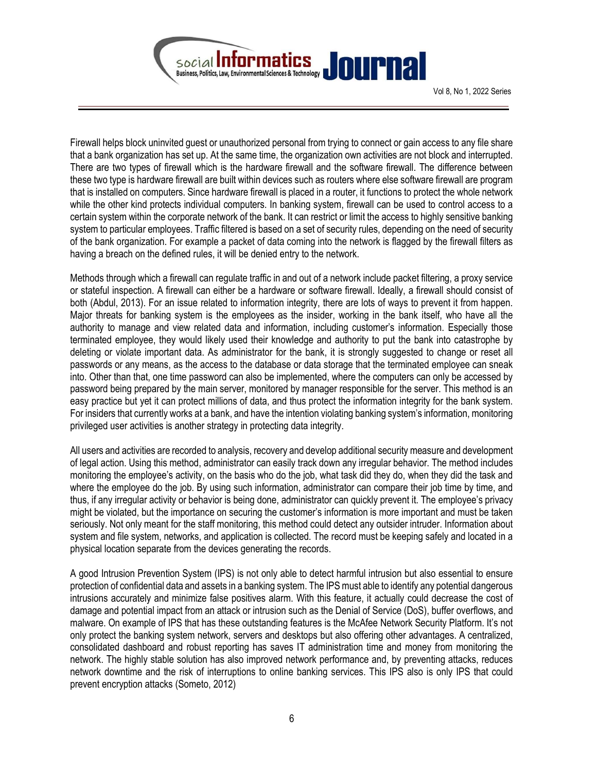

Firewall helps block uninvited guest or unauthorized personal from trying to connect or gain access to any file share that a bank organization has set up. At the same time, the organization own activities are not block and interrupted. There are two types of firewall which is the hardware firewall and the software firewall. The difference between these two type is hardware firewall are built within devices such as routers where else software firewall are program that is installed on computers. Since hardware firewall is placed in a router, it functions to protect the whole network while the other kind protects individual computers. In banking system, firewall can be used to control access to a certain system within the corporate network of the bank. It can restrict or limit the access to highly sensitive banking system to particular employees. Traffic filtered is based on a set of security rules, depending on the need of security of the bank organization. For example a packet of data coming into the network is flagged by the firewall filters as having a breach on the defined rules, it will be denied entry to the network.

Methods through which a firewall can regulate traffic in and out of a network include packet filtering, a proxy service or stateful inspection. A firewall can either be a hardware or software firewall. Ideally, a firewall should consist of both (Abdul, 2013). For an issue related to information integrity, there are lots of ways to prevent it from happen. Major threats for banking system is the employees as the insider, working in the bank itself, who have all the authority to manage and view related data and information, including customer's information. Especially those terminated employee, they would likely used their knowledge and authority to put the bank into catastrophe by deleting or violate important data. As administrator for the bank, it is strongly suggested to change or reset all passwords or any means, as the access to the database or data storage that the terminated employee can sneak into. Other than that, one time password can also be implemented, where the computers can only be accessed by password being prepared by the main server, monitored by manager responsible for the server. This method is an easy practice but yet it can protect millions of data, and thus protect the information integrity for the bank system. For insiders that currently works at a bank, and have the intention violating banking system's information, monitoring privileged user activities is another strategy in protecting data integrity.

All users and activities are recorded to analysis, recovery and develop additional security measure and development of legal action. Using this method, administrator can easily track down any irregular behavior. The method includes monitoring the employee's activity, on the basis who do the job, what task did they do, when they did the task and where the employee do the job. By using such information, administrator can compare their job time by time, and thus, if any irregular activity or behavior is being done, administrator can quickly prevent it. The employee's privacy might be violated, but the importance on securing the customer's information is more important and must be taken seriously. Not only meant for the staff monitoring, this method could detect any outsider intruder. Information about system and file system, networks, and application is collected. The record must be keeping safely and located in a physical location separate from the devices generating the records.

A good Intrusion Prevention System (IPS) is not only able to detect harmful intrusion but also essential to ensure protection of confidential data and assets in a banking system. The IPS must able to identify any potential dangerous intrusions accurately and minimize false positives alarm. With this feature, it actually could decrease the cost of damage and potential impact from an attack or intrusion such as the Denial of Service (DoS), buffer overflows, and malware. On example of IPS that has these outstanding features is the McAfee Network Security Platform. It's not only protect the banking system network, servers and desktops but also offering other advantages. A centralized, consolidated dashboard and robust reporting has saves IT administration time and money from monitoring the network. The highly stable solution has also improved network performance and, by preventing attacks, reduces network downtime and the risk of interruptions to online banking services. This IPS also is only IPS that could prevent encryption attacks (Someto, 2012)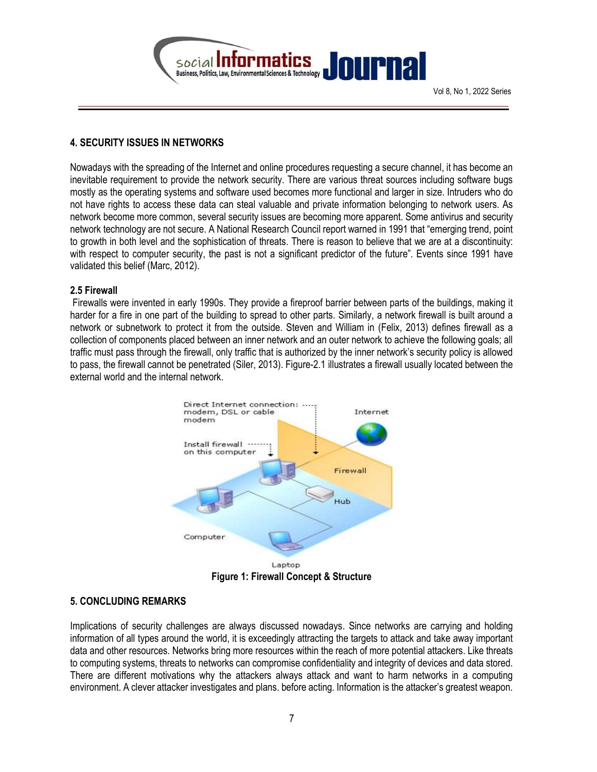

## 4. SECURITY ISSUES IN NETWORKS

Nowadays with the spreading of the Internet and online procedures requesting a secure channel, it has become an inevitable requirement to provide the network security. There are various threat sources including software bugs mostly as the operating systems and software used becomes more functional and larger in size. Intruders who do not have rights to access these data can steal valuable and private information belonging to network users. As network become more common, several security issues are becoming more apparent. Some antivirus and security network technology are not secure. A National Research Council report warned in 1991 that "emerging trend, point to growth in both level and the sophistication of threats. There is reason to believe that we are at a discontinuity: with respect to computer security, the past is not a significant predictor of the future". Events since 1991 have validated this belief (Marc, 2012).

#### 2.5 Firewall

 Firewalls were invented in early 1990s. They provide a fireproof barrier between parts of the buildings, making it harder for a fire in one part of the building to spread to other parts. Similarly, a network firewall is built around a network or subnetwork to protect it from the outside. Steven and William in (Felix, 2013) defines firewall as a collection of components placed between an inner network and an outer network to achieve the following goals; all traffic must pass through the firewall, only traffic that is authorized by the inner network's security policy is allowed to pass, the firewall cannot be penetrated (Siler, 2013). Figure-2.1 illustrates a firewall usually located between the external world and the internal network.



# 5. CONCLUDING REMARKS

Implications of security challenges are always discussed nowadays. Since networks are carrying and holding information of all types around the world, it is exceedingly attracting the targets to attack and take away important data and other resources. Networks bring more resources within the reach of more potential attackers. Like threats to computing systems, threats to networks can compromise confidentiality and integrity of devices and data stored. There are different motivations why the attackers always attack and want to harm networks in a computing environment. A clever attacker investigates and plans. before acting. Information is the attacker's greatest weapon.